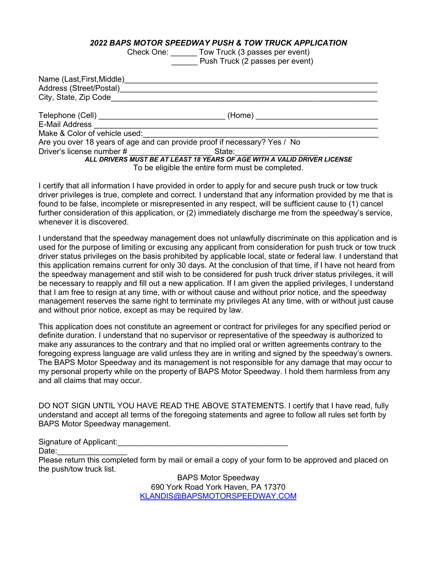#### *2022 BAPS MOTOR SPEEDWAY PUSH & TOW TRUCK APPLICATION*

Check One: \_\_\_\_\_\_ Tow Truck (3 passes per event) **Example 2 Push Truck (2 passes per event)** 

| Name (Last, First, Middle)<br>Address (Street/Postal)<br>City, State, Zip Code |        |  |
|--------------------------------------------------------------------------------|--------|--|
| Telephone (Cell) _____________________________<br>E-Mail Address               | (Home) |  |
| Make & Color of vehicle used:                                                  |        |  |
| Are you over 18 years of age and can provide proof if necessary? Yes / No      |        |  |
| Driver's license number #                                                      | State: |  |
| ALL DRIVERS MUST BE AT LEAST 18 YEARS OF AGE WITH A VALID DRIVER LICENSE       |        |  |
| To be eligible the entire form must be completed.                              |        |  |

I certify that all information I have provided in order to apply for and secure push truck or tow truck driver privileges is true, complete and correct. I understand that any information provided by me that is found to be false, incomplete or misrepresented in any respect, will be sufficient cause to (1) cancel further consideration of this application, or (2) immediately discharge me from the speedway's service, whenever it is discovered.

I understand that the speedway management does not unlawfully discriminate on this application and is used for the purpose of limiting or excusing any applicant from consideration for push truck or tow truck driver status privileges on the basis prohibited by applicable local, state or federal law. I understand that this application remains current for only 30 days. At the conclusion of that time, if I have not heard from the speedway management and still wish to be considered for push truck driver status privileges, it will be necessary to reapply and fill out a new application. If I am given the applied privileges, I understand that I am free to resign at any time, with or without cause and without prior notice, and the speedway management reserves the same right to terminate my privileges At any time, with or without just cause and without prior notice, except as may be required by law.

This application does not constitute an agreement or contract for privileges for any specified period or definite duration. I understand that no supervisor or representative of the speedway is authorized to make any assurances to the contrary and that no implied oral or written agreements contrary to the foregoing express language are valid unless they are in writing and signed by the speedway's owners. The BAPS Motor Speedway and its management is not responsible for any damage that may occur to my personal property while on the property of BAPS Motor Speedway. I hold them harmless from any and all claims that may occur.

DO NOT SIGN UNTIL YOU HAVE READ THE ABOVE STATEMENTS. I certify that I have read, fully understand and accept all terms of the foregoing statements and agree to follow all rules set forth by BAPS Motor Speedway management.

Signature of Applicant:

Date:

Please return this completed form by mail or email a copy of your form to be approved and placed on the push/tow truck list.

> BAPS Motor Speedway 690 York Road York Haven, PA 17370 KLANDIS@BAPSMOTORSPEEDWAY.COM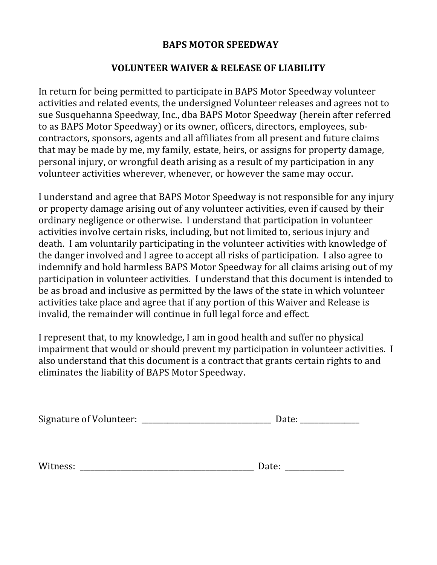## **BAPS MOTOR SPEEDWAY**

## **VOLUNTEER WAIVER & RELEASE OF LIABILITY**

In return for being permitted to participate in BAPS Motor Speedway volunteer activities and related events, the undersigned Volunteer releases and agrees not to sue Susquehanna Speedway, Inc., dba BAPS Motor Speedway (herein after referred to as BAPS Motor Speedway) or its owner, officers, directors, employees, subcontractors, sponsors, agents and all affiliates from all present and future claims that may be made by me, my family, estate, heirs, or assigns for property damage, personal injury, or wrongful death arising as a result of my participation in any volunteer activities wherever, whenever, or however the same may occur.

I understand and agree that BAPS Motor Speedway is not responsible for any injury or property damage arising out of any volunteer activities, even if caused by their ordinary negligence or otherwise. I understand that participation in volunteer activities involve certain risks, including, but not limited to, serious injury and death. I am voluntarily participating in the volunteer activities with knowledge of the danger involved and I agree to accept all risks of participation. I also agree to indemnify and hold harmless BAPS Motor Speedway for all claims arising out of my participation in volunteer activities. I understand that this document is intended to be as broad and inclusive as permitted by the laws of the state in which volunteer activities take place and agree that if any portion of this Waiver and Release is invalid, the remainder will continue in full legal force and effect.

I represent that, to my knowledge, I am in good health and suffer no physical impairment that would or should prevent my participation in volunteer activities. I also understand that this document is a contract that grants certain rights to and eliminates the liability of BAPS Motor Speedway.

| <b>Signature of Volunteer:</b> |  |
|--------------------------------|--|
|                                |  |

| Wi<br>macc.<br>. ت ت<br>_____ | . |
|-------------------------------|---|
|-------------------------------|---|